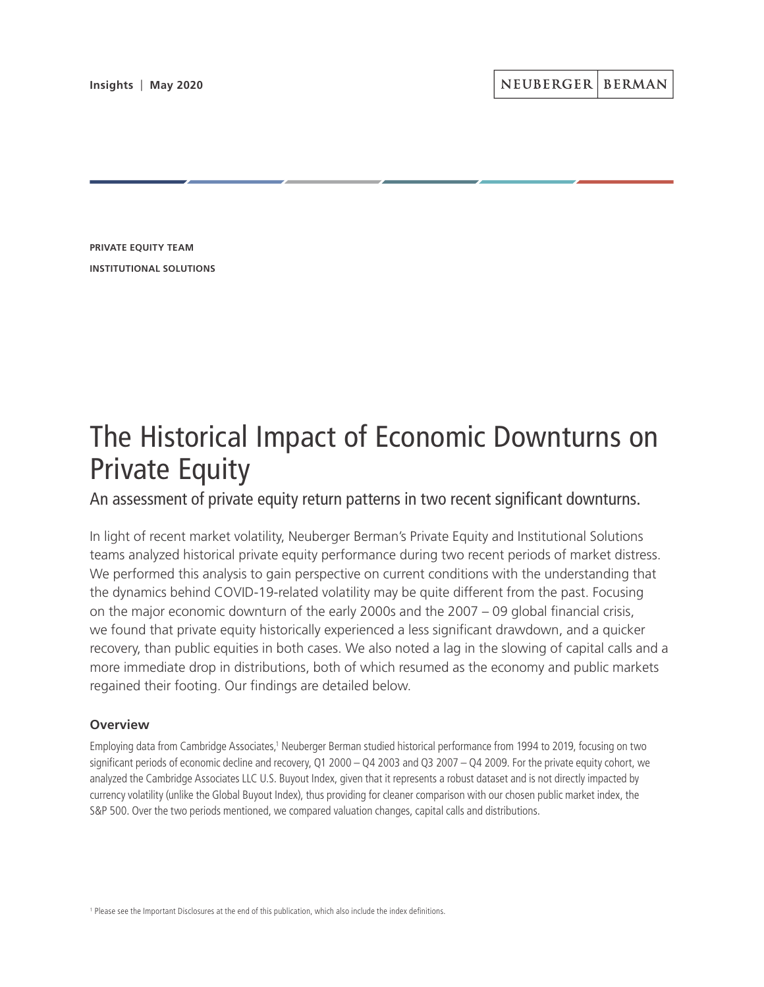**PRIVATE EQUITY TEAM INSTITUTIONAL SOLUTIONS**

# The Historical Impact of Economic Downturns on Private Equity

An assessment of private equity return patterns in two recent significant downturns.

In light of recent market volatility, Neuberger Berman's Private Equity and Institutional Solutions teams analyzed historical private equity performance during two recent periods of market distress. We performed this analysis to gain perspective on current conditions with the understanding that the dynamics behind COVID-19-related volatility may be quite different from the past. Focusing on the major economic downturn of the early 2000s and the 2007 – 09 global financial crisis, we found that private equity historically experienced a less significant drawdown, and a quicker recovery, than public equities in both cases. We also noted a lag in the slowing of capital calls and a more immediate drop in distributions, both of which resumed as the economy and public markets regained their footing. Our findings are detailed below.

# **Overview**

Employing data from Cambridge Associates,<sup>1</sup> Neuberger Berman studied historical performance from 1994 to 2019, focusing on two significant periods of economic decline and recovery, Q1 2000 – Q4 2003 and Q3 2007 – Q4 2009. For the private equity cohort, we analyzed the Cambridge Associates LLC U.S. Buyout Index, given that it represents a robust dataset and is not directly impacted by currency volatility (unlike the Global Buyout Index), thus providing for cleaner comparison with our chosen public market index, the S&P 500. Over the two periods mentioned, we compared valuation changes, capital calls and distributions.

<sup>1</sup> Please see the Important Disclosures at the end of this publication, which also include the index definitions.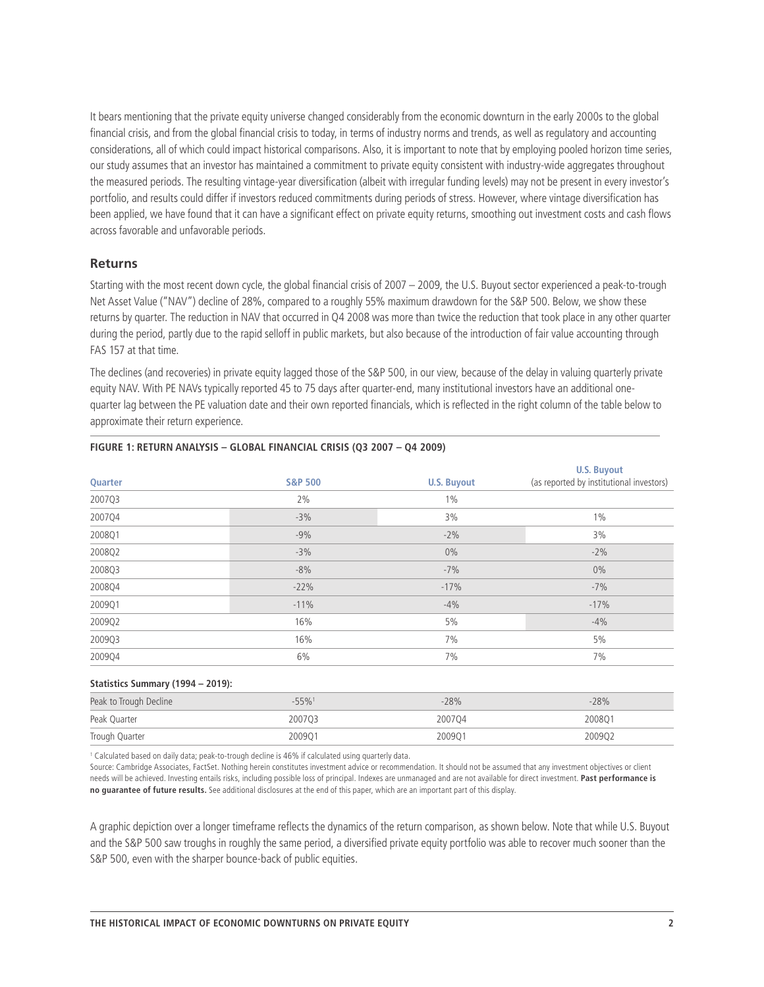It bears mentioning that the private equity universe changed considerably from the economic downturn in the early 2000s to the global financial crisis, and from the global financial crisis to today, in terms of industry norms and trends, as well as regulatory and accounting considerations, all of which could impact historical comparisons. Also, it is important to note that by employing pooled horizon time series, our study assumes that an investor has maintained a commitment to private equity consistent with industry-wide aggregates throughout the measured periods. The resulting vintage-year diversification (albeit with irregular funding levels) may not be present in every investor's portfolio, and results could differ if investors reduced commitments during periods of stress. However, where vintage diversification has been applied, we have found that it can have a significant effect on private equity returns, smoothing out investment costs and cash flows across favorable and unfavorable periods.

## **Returns**

Starting with the most recent down cycle, the global financial crisis of 2007 – 2009, the U.S. Buyout sector experienced a peak-to-trough Net Asset Value ("NAV") decline of 28%, compared to a roughly 55% maximum drawdown for the S&P 500. Below, we show these returns by quarter. The reduction in NAV that occurred in Q4 2008 was more than twice the reduction that took place in any other quarter during the period, partly due to the rapid selloff in public markets, but also because of the introduction of fair value accounting through FAS 157 at that time.

The declines (and recoveries) in private equity lagged those of the S&P 500, in our view, because of the delay in valuing quarterly private equity NAV. With PE NAVs typically reported 45 to 75 days after quarter-end, many institutional investors have an additional onequarter lag between the PE valuation date and their own reported financials, which is reflected in the right column of the table below to approximate their return experience.

| Quarter                           | <b>S&amp;P 500</b>                                                                                            | <b>U.S. Buyout</b> | <b>U.S. Buyout</b><br>(as reported by institutional investors) |
|-----------------------------------|---------------------------------------------------------------------------------------------------------------|--------------------|----------------------------------------------------------------|
| 2007Q3                            | 2%                                                                                                            | $1\%$              |                                                                |
| 2007Q4                            | $-3%$                                                                                                         | 3%                 | $1\%$                                                          |
| 2008Q1                            | $-9%$                                                                                                         | $-2%$              | 3%                                                             |
| 2008Q2                            | $-3%$                                                                                                         | $0\%$              | $-2%$                                                          |
| 2008Q3                            | $-8%$                                                                                                         | $-7%$              | $0\%$                                                          |
| 2008Q4                            | $-22%$                                                                                                        | $-17%$             | $-7%$                                                          |
| 2009Q1                            | $-11%$                                                                                                        | $-4%$              | $-17%$                                                         |
| 2009Q2                            | 16%                                                                                                           | 5%                 | $-4%$                                                          |
| 2009Q3                            | 16%                                                                                                           | 7%                 | 5%                                                             |
| 2009Q4                            | 6%                                                                                                            | 7%                 | 7%                                                             |
| Statistics Summary (1994 - 2019): |                                                                                                               |                    |                                                                |
| Peak to Trough Decline            | $-55%$ <sup>1</sup>                                                                                           | $-28%$             | $-28%$                                                         |
| Peak Quarter                      | 2007Q3                                                                                                        | 2007Q4             | 2008Q1                                                         |
| Trough Quarter                    | 2009Q1                                                                                                        | 2009Q1             | 2009Q2                                                         |
|                                   | A Welcological booked on algebraicance in the annual algebra to AWN. If colonized noted increased in the deal |                    |                                                                |

### **FIGURE 1: RETURN ANALYSIS – GLOBAL FINANCIAL CRISIS (Q3 2007 – Q4 2009)**

Calculated based on daily data; peak-to-trough decline is 46% if calculated using quarterly data.

Source: Cambridge Associates, FactSet. Nothing herein constitutes investment advice or recommendation. It should not be assumed that any investment objectives or client needs will be achieved. Investing entails risks, including possible loss of principal. Indexes are unmanaged and are not available for direct investment. **Past performance is no guarantee of future results.** See additional disclosures at the end of this paper, which are an important part of this display.

A graphic depiction over a longer timeframe reflects the dynamics of the return comparison, as shown below. Note that while U.S. Buyout and the S&P 500 saw troughs in roughly the same period, a diversified private equity portfolio was able to recover much sooner than the S&P 500, even with the sharper bounce-back of public equities.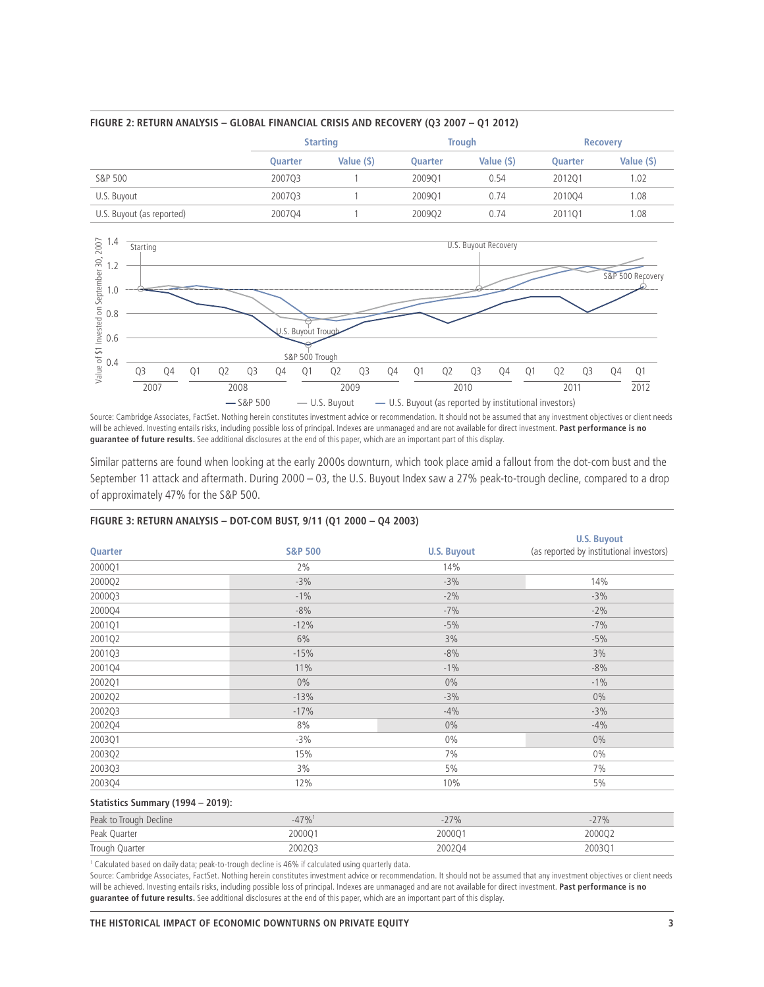

## **FIGURE 2: RETURN ANALYSIS – GLOBAL FINANCIAL CRISIS AND RECOVERY (Q3 2007 – Q1 2012)**



Source: Cambridge Associates, FactSet. Nothing herein constitutes investment advice or recommendation. It should not be assumed that any investment objectives or client needs will be achieved. Investing entails risks, including possible loss of principal. Indexes are unmanaged and are not available for direct investment. **Past performance is no guarantee of future results.** See additional disclosures at the end of this paper, which are an important part of this display.

Similar patterns are found when looking at the early 2000s downturn, which took place amid a fallout from the dot-com bust and the September 11 attack and aftermath. During 2000 – 03, the U.S. Buyout Index saw a 27% peak-to-trough decline, compared to a drop of approximately 47% for the S&P 500.

## **FIGURE 3: RETURN ANALYSIS – DOT-COM BUST, 9/11 (Q1 2000 – Q4 2003)**

|                    |                    | <b>U.S. Buyout</b>                       |
|--------------------|--------------------|------------------------------------------|
| <b>S&amp;P 500</b> | <b>U.S. Buyout</b> | (as reported by institutional investors) |
| 2%                 | 14%                |                                          |
| $-3%$              | $-3%$              | 14%                                      |
| $-1%$              | $-2%$              | $-3%$                                    |
| $-8%$              | $-7%$              | $-2%$                                    |
| $-12%$             | $-5%$              | $-7%$                                    |
| 6%                 | 3%                 | $-5%$                                    |
| $-15%$             | $-8%$              | 3%                                       |
| 11%                | $-1\%$             | $-8%$                                    |
| $0\%$              | $0\%$              | $-1%$                                    |
| $-13%$             | $-3%$              | $0\%$                                    |
| $-17%$             | $-4%$              | $-3%$                                    |
| 8%                 | $0\%$              | $-4%$                                    |
| $-3%$              | $0\%$              | $0\%$                                    |
| 15%                | 7%                 | $0\%$                                    |
| $3\%$              | 5%                 | 7%                                       |
| 12%                | 10%                | 5%                                       |
|                    |                    |                                          |

## **Statistics Summary (1994 – 2019):**

| Peak to Trough Decline |        | $77\%$ |        |
|------------------------|--------|--------|--------|
| Peak Quarter           | 200001 | 200001 | 200002 |
| Trough Quarter         | 200203 | 200204 | 200301 |

1 Calculated based on daily data; peak-to-trough decline is 46% if calculated using quarterly data.

Source: Cambridge Associates, FactSet. Nothing herein constitutes investment advice or recommendation. It should not be assumed that any investment objectives or client needs will be achieved. Investing entails risks, including possible loss of principal. Indexes are unmanaged and are not available for direct investment. **Past performance is no guarantee of future results.** See additional disclosures at the end of this paper, which are an important part of this display.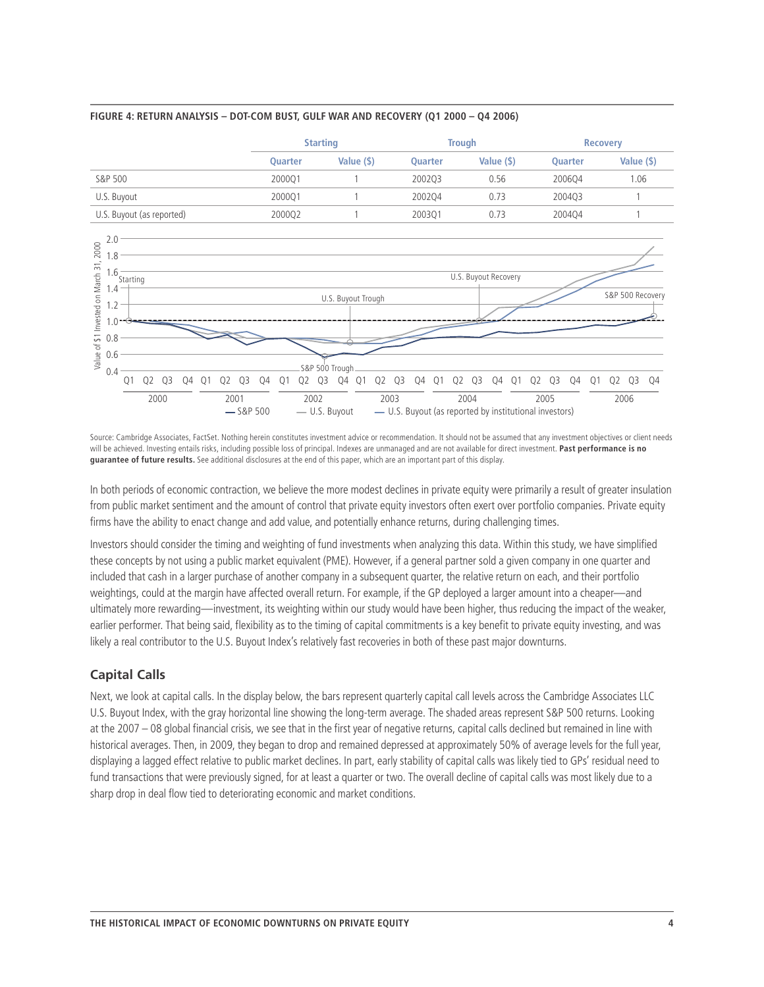

### **FIGURE 4: RETURN ANALYSIS – DOT-COM BUST, GULF WAR AND RECOVERY (Q1 2000 – Q4 2006)**

Source: Cambridge Associates, FactSet. Nothing herein constitutes investment advice or recommendation. It should not be assumed that any investment objectives or client needs will be achieved. Investing entails risks, including possible loss of principal. Indexes are unmanaged and are not available for direct investment. **Past performance is no guarantee of future results.** See additional disclosures at the end of this paper, which are an important part of this display.

Q1 Q2 Q3 Q4 2003

 $-$  S&P 500  $-$  U.S. Buyout  $-$  U.S. Buyout (as reported by institutional investors)

Q1 Q2 Q3 Q4 2004

Q1 Q2 Q3 Q4 2005

Q1 Q2 Q3 Q4 2006

Q1 Q2 Q3 Q4 2002

In both periods of economic contraction, we believe the more modest declines in private equity were primarily a result of greater insulation from public market sentiment and the amount of control that private equity investors often exert over portfolio companies. Private equity firms have the ability to enact change and add value, and potentially enhance returns, during challenging times.

Investors should consider the timing and weighting of fund investments when analyzing this data. Within this study, we have simplified these concepts by not using a public market equivalent (PME). However, if a general partner sold a given company in one quarter and included that cash in a larger purchase of another company in a subsequent quarter, the relative return on each, and their portfolio weightings, could at the margin have affected overall return. For example, if the GP deployed a larger amount into a cheaper—and ultimately more rewarding—investment, its weighting within our study would have been higher, thus reducing the impact of the weaker, earlier performer. That being said, flexibility as to the timing of capital commitments is a key benefit to private equity investing, and was likely a real contributor to the U.S. Buyout Index's relatively fast recoveries in both of these past major downturns.

# **Capital Calls**

Q1 Q2 Q3 Q4 2000

Q1 Q2 Q3 Q4 2001

0.4 S&P 500 Trough

Next, we look at capital calls. In the display below, the bars represent quarterly capital call levels across the Cambridge Associates LLC U.S. Buyout Index, with the gray horizontal line showing the long-term average. The shaded areas represent S&P 500 returns. Looking at the 2007 – 08 global financial crisis, we see that in the first year of negative returns, capital calls declined but remained in line with historical averages. Then, in 2009, they began to drop and remained depressed at approximately 50% of average levels for the full year, displaying a lagged effect relative to public market declines. In part, early stability of capital calls was likely tied to GPs' residual need to fund transactions that were previously signed, for at least a quarter or two. The overall decline of capital calls was most likely due to a sharp drop in deal flow tied to deteriorating economic and market conditions.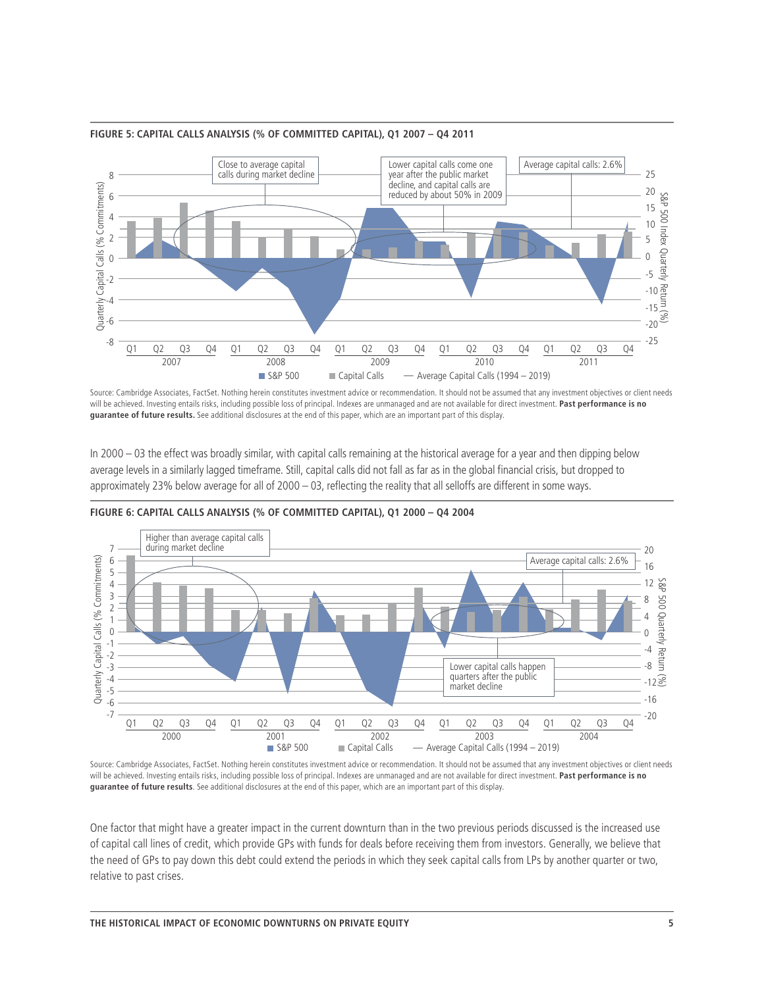

## **FIGURE 5: CAPITAL CALLS ANALYSIS (% OF COMMITTED CAPITAL), Q1 2007 – Q4 2011**

Source: Cambridge Associates, FactSet. Nothing herein constitutes investment advice or recommendation. It should not be assumed that any investment objectives or client needs will be achieved. Investing entails risks, including possible loss of principal. Indexes are unmanaged and are not available for direct investment. **Past performance is no guarantee of future results.** See additional disclosures at the end of this paper, which are an important part of this display.

In 2000 – 03 the effect was broadly similar, with capital calls remaining at the historical average for a year and then dipping below average levels in a similarly lagged timeframe. Still, capital calls did not fall as far as in the global financial crisis, but dropped to approximately 23% below average for all of 2000 – 03, reflecting the reality that all selloffs are different in some ways.



**FIGURE 6: CAPITAL CALLS ANALYSIS (% OF COMMITTED CAPITAL), Q1 2000 – Q4 2004**

Source: Cambridge Associates, FactSet. Nothing herein constitutes investment advice or recommendation. It should not be assumed that any investment objectives or client needs will be achieved. Investing entails risks, including possible loss of principal. Indexes are unmanaged and are not available for direct investment. **Past performance is no guarantee of future results**. See additional disclosures at the end of this paper, which are an important part of this display.

One factor that might have a greater impact in the current downturn than in the two previous periods discussed is the increased use of capital call lines of credit, which provide GPs with funds for deals before receiving them from investors. Generally, we believe that the need of GPs to pay down this debt could extend the periods in which they seek capital calls from LPs by another quarter or two, relative to past crises.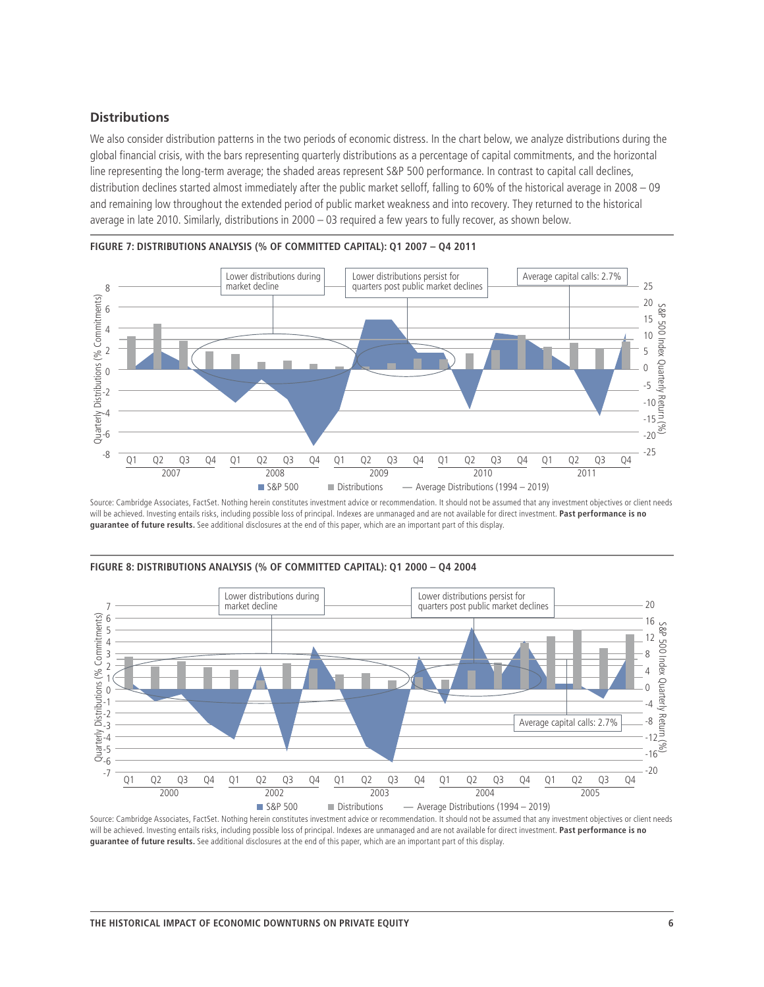## **Distributions**

We also consider distribution patterns in the two periods of economic distress. In the chart below, we analyze distributions during the global financial crisis, with the bars representing quarterly distributions as a percentage of capital commitments, and the horizontal line representing the long-term average; the shaded areas represent S&P 500 performance. In contrast to capital call declines, distribution declines started almost immediately after the public market selloff, falling to 60% of the historical average in 2008 – 09 and remaining low throughout the extended period of public market weakness and into recovery. They returned to the historical average in late 2010. Similarly, distributions in 2000 – 03 required a few years to fully recover, as shown below.



**FIGURE 7: DISTRIBUTIONS ANALYSIS (% OF COMMITTED CAPITAL): Q1 2007 – Q4 2011**

Source: Cambridge Associates, FactSet. Nothing herein constitutes investment advice or recommendation. It should not be assumed that any investment objectives or client needs will be achieved. Investing entails risks, including possible loss of principal. Indexes are unmanaged and are not available for direct investment. **Past performance is no guarantee of future results.** See additional disclosures at the end of this paper, which are an important part of this display.



**FIGURE 8: DISTRIBUTIONS ANALYSIS (% OF COMMITTED CAPITAL): Q1 2000 – Q4 2004**

Source: Cambridge Associates, FactSet. Nothing herein constitutes investment advice or recommendation. It should not be assumed that any investment objectives or client needs will be achieved. Investing entails risks, including possible loss of principal. Indexes are unmanaged and are not available for direct investment. **Past performance is no guarantee of future results.** See additional disclosures at the end of this paper, which are an important part of this display.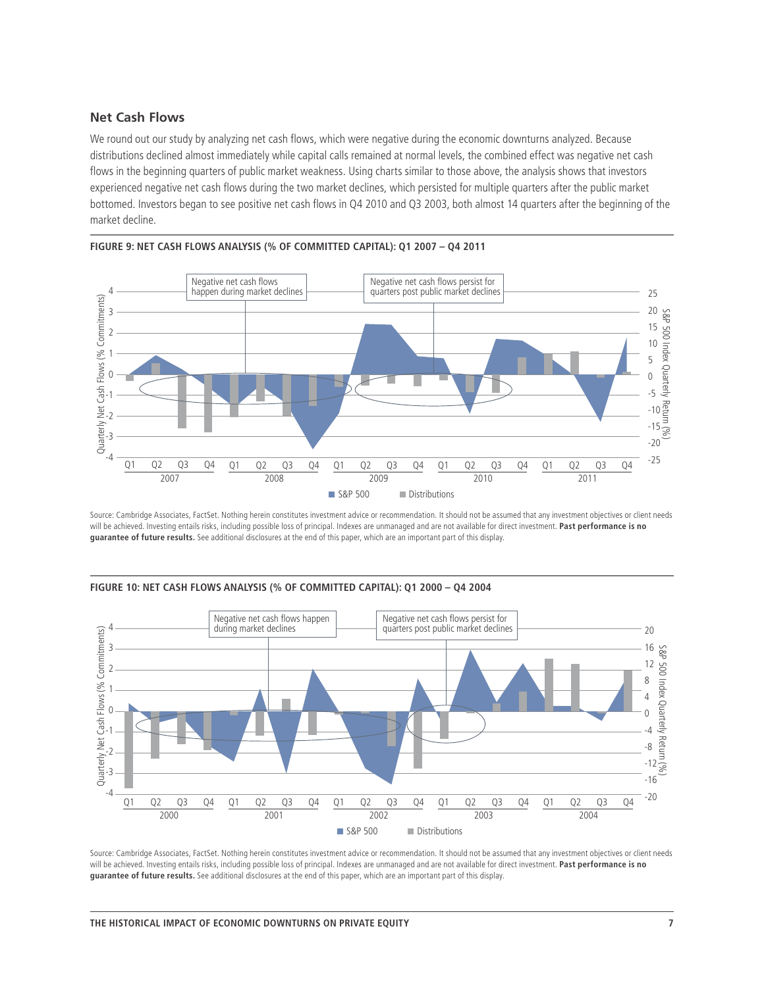# **Net Cash Flows**

We round out our study by analyzing net cash flows, which were negative during the economic downturns analyzed. Because distributions declined almost immediately while capital calls remained at normal levels, the combined effect was negative net cash flows in the beginning quarters of public market weakness. Using charts similar to those above, the analysis shows that investors experienced negative net cash flows during the two market declines, which persisted for multiple quarters after the public market bottomed. Investors began to see positive net cash flows in Q4 2010 and Q3 2003, both almost 14 quarters after the beginning of the market decline.



**FIGURE 9: NET CASH FLOWS ANALYSIS (% OF COMMITTED CAPITAL): Q1 2007 – Q4 2011**

Source: Cambridge Associates, FactSet. Nothing herein constitutes investment advice or recommendation. It should not be assumed that any investment objectives or client needs will be achieved. Investing entails risks, including possible loss of principal. Indexes are unmanaged and are not available for direct investment. **Past performance is no guarantee of future results.** See additional disclosures at the end of this paper, which are an important part of this display.



**FIGURE 10: NET CASH FLOWS ANALYSIS (% OF COMMITTED CAPITAL): Q1 2000 – Q4 2004**

Source: Cambridge Associates, FactSet. Nothing herein constitutes investment advice or recommendation. It should not be assumed that any investment objectives or client needs will be achieved. Investing entails risks, including possible loss of principal. Indexes are unmanaged and are not available for direct investment. **Past performance is no guarantee of future results.** See additional disclosures at the end of this paper, which are an important part of this display.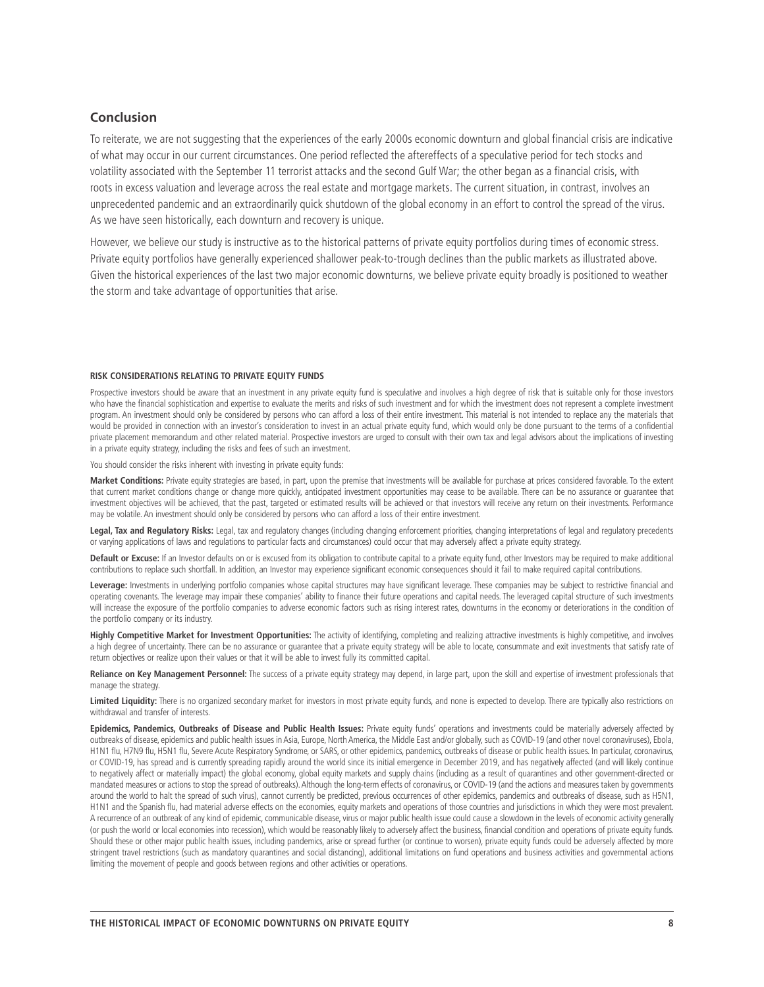## **Conclusion**

To reiterate, we are not suggesting that the experiences of the early 2000s economic downturn and global financial crisis are indicative of what may occur in our current circumstances. One period reflected the aftereffects of a speculative period for tech stocks and volatility associated with the September 11 terrorist attacks and the second Gulf War; the other began as a financial crisis, with roots in excess valuation and leverage across the real estate and mortgage markets. The current situation, in contrast, involves an unprecedented pandemic and an extraordinarily quick shutdown of the global economy in an effort to control the spread of the virus. As we have seen historically, each downturn and recovery is unique.

However, we believe our study is instructive as to the historical patterns of private equity portfolios during times of economic stress. Private equity portfolios have generally experienced shallower peak-to-trough declines than the public markets as illustrated above. Given the historical experiences of the last two major economic downturns, we believe private equity broadly is positioned to weather the storm and take advantage of opportunities that arise.

#### **RISK CONSIDERATIONS RELATING TO PRIVATE EQUITY FUNDS**

Prospective investors should be aware that an investment in any private equity fund is speculative and involves a high degree of risk that is suitable only for those investors who have the financial sophistication and expertise to evaluate the merits and risks of such investment and for which the investment does not represent a complete investment program. An investment should only be considered by persons who can afford a loss of their entire investment. This material is not intended to replace any the materials that would be provided in connection with an investor's consideration to invest in an actual private equity fund, which would only be done pursuant to the terms of a confidential private placement memorandum and other related material. Prospective investors are urged to consult with their own tax and legal advisors about the implications of investing in a private equity strategy, including the risks and fees of such an investment.

You should consider the risks inherent with investing in private equity funds:

**Market Conditions:** Private equity strategies are based, in part, upon the premise that investments will be available for purchase at prices considered favorable. To the extent that current market conditions change or change more quickly, anticipated investment opportunities may cease to be available. There can be no assurance or guarantee that investment objectives will be achieved, that the past, targeted or estimated results will be achieved or that investors will receive any return on their investments. Performance may be volatile. An investment should only be considered by persons who can afford a loss of their entire investment.

Legal, Tax and Regulatory Risks: Legal, tax and regulatory changes (including changing enforcement priorities, changing interpretations of legal and regulatory precedents or varying applications of laws and regulations to particular facts and circumstances) could occur that may adversely affect a private equity strategy.

Default or Excuse: If an Investor defaults on or is excused from its obligation to contribute capital to a private equity fund, other Investors may be required to make additional contributions to replace such shortfall. In addition, an Investor may experience significant economic consequences should it fail to make required capital contributions.

Leverage: Investments in underlying portfolio companies whose capital structures may have significant leverage. These companies may be subject to restrictive financial and operating covenants. The leverage may impair these companies' ability to finance their future operations and capital needs. The leveraged capital structure of such investments will increase the exposure of the portfolio companies to adverse economic factors such as rising interest rates, downturns in the economy or deteriorations in the condition of the portfolio company or its industry.

**Highly Competitive Market for Investment Opportunities:** The activity of identifying, completing and realizing attractive investments is highly competitive, and involves a high degree of uncertainty. There can be no assurance or guarantee that a private equity strategy will be able to locate, consummate and exit investments that satisfy rate of return objectives or realize upon their values or that it will be able to invest fully its committed capital.

Reliance on Key Management Personnel: The success of a private equity strategy may depend, in large part, upon the skill and expertise of investment professionals that manage the strategy.

Limited Liquidity: There is no organized secondary market for investors in most private equity funds, and none is expected to develop. There are typically also restrictions on withdrawal and transfer of interests.

**Epidemics, Pandemics, Outbreaks of Disease and Public Health Issues:** Private equity funds' operations and investments could be materially adversely affected by outbreaks of disease, epidemics and public health issues in Asia, Europe, North America, the Middle East and/or globally, such as COVID-19 (and other novel coronaviruses), Ebola, H1N1 flu, H7N9 flu, H5N1 flu, Severe Acute Respiratory Syndrome, or SARS, or other epidemics, pandemics, outbreaks of disease or public health issues. In particular, coronavirus, or COVID-19, has spread and is currently spreading rapidly around the world since its initial emergence in December 2019, and has negatively affected (and will likely continue to negatively affect or materially impact) the global economy, global equity markets and supply chains (including as a result of quarantines and other government-directed or mandated measures or actions to stop the spread of outbreaks). Although the long-term effects of coronavirus, or COVID-19 (and the actions and measures taken by governments around the world to halt the spread of such virus), cannot currently be predicted, previous occurrences of other epidemics, pandemics and outbreaks of disease, such as H5N1, H1N1 and the Spanish flu, had material adverse effects on the economies, equity markets and operations of those countries and jurisdictions in which they were most prevalent. A recurrence of an outbreak of any kind of epidemic, communicable disease, virus or major public health issue could cause a slowdown in the levels of economic activity generally (or push the world or local economies into recession), which would be reasonably likely to adversely affect the business, financial condition and operations of private equity funds. Should these or other major public health issues, including pandemics, arise or spread further (or continue to worsen), private equity funds could be adversely affected by more stringent travel restrictions (such as mandatory quarantines and social distancing), additional limitations on fund operations and business activities and governmental actions limiting the movement of people and goods between regions and other activities or operations.